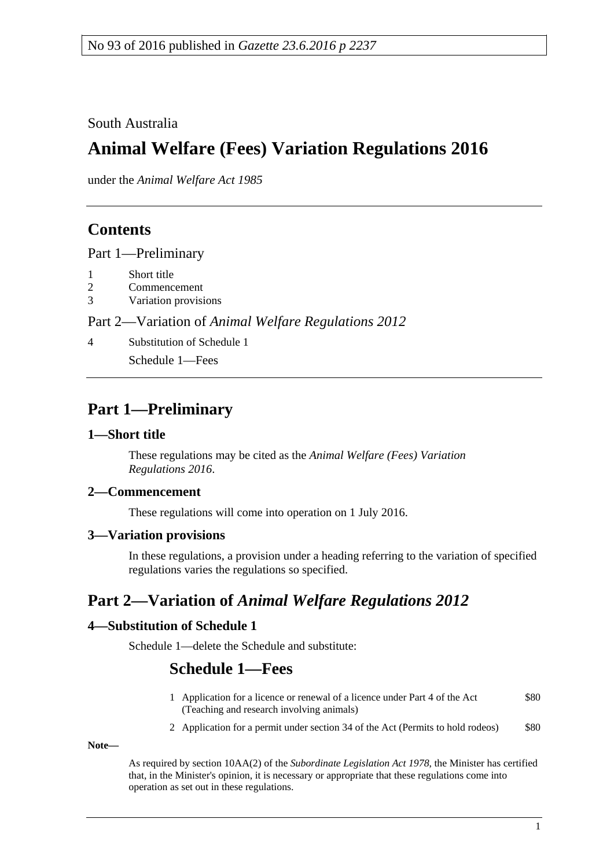South Australia

# **Animal Welfare (Fees) Variation Regulations 2016**

under the *Animal Welfare Act 1985*

### **Contents**

Part [1—Preliminary](#page-0-0)

- 1 [Short title](#page-0-1)
- 2 [Commencement](#page-0-2)
- 3 [Variation provisions](#page-0-3)

#### Part 2—Variation of *[Animal Welfare Regulations](#page-0-4) 2012*

4 [Substitution of Schedule](#page-0-5) 1

Schedule 1—Fees

### <span id="page-0-0"></span>**Part 1—Preliminary**

#### <span id="page-0-1"></span>**1—Short title**

These regulations may be cited as the *Animal Welfare (Fees) Variation Regulations 2016*.

#### <span id="page-0-2"></span>**2—Commencement**

These regulations will come into operation on 1 July 2016.

#### <span id="page-0-3"></span>**3—Variation provisions**

In these regulations, a provision under a heading referring to the variation of specified regulations varies the regulations so specified.

## <span id="page-0-4"></span>**Part 2—Variation of** *Animal Welfare Regulations 2012*

#### <span id="page-0-5"></span>**4—Substitution of Schedule 1**

Schedule 1—delete the Schedule and substitute:

### **Schedule 1—Fees**

- 1 Application for a licence or renewal of a licence under Part 4 of the Act (Teaching and research involving animals) \$80
- 2 Application for a permit under section 34 of the Act (Permits to hold rodeos) \$80

**Note—**

As required by section 10AA(2) of the *[Subordinate Legislation Act](http://www.legislation.sa.gov.au/index.aspx?action=legref&type=act&legtitle=Subordinate%20Legislation%20Act%201978) 1978*, the Minister has certified that, in the Minister's opinion, it is necessary or appropriate that these regulations come into operation as set out in these regulations.